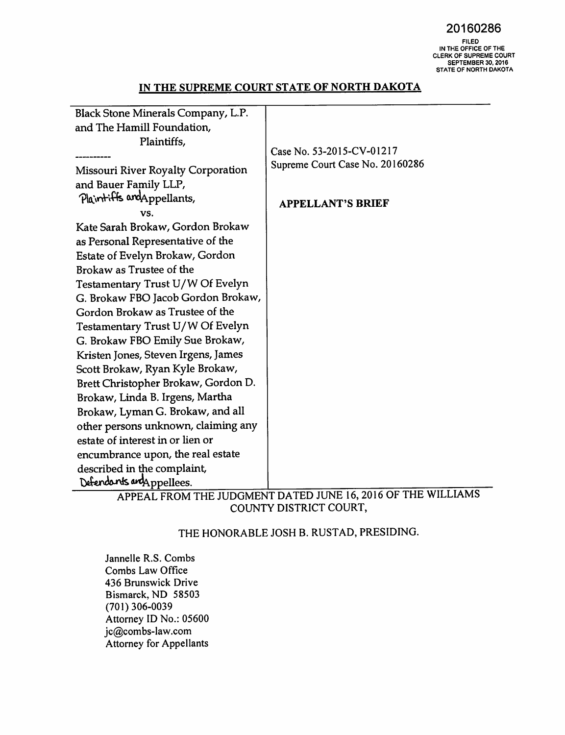#### 20160286

FILED<br>IN THE OFFICE OF THE<br>CLERK OF SUPREME COURT<br>SEPTEMBER 30, 2016<br>STATE OF NORTH DAKOTA

### IN THE SUPREME COURT STATE OF NORTH DAKOTA

| Black Stone Minerals Company, L.P.                           |                                 |  |
|--------------------------------------------------------------|---------------------------------|--|
| and The Hamill Foundation,                                   |                                 |  |
| Plaintiffs,                                                  |                                 |  |
|                                                              | Case No. 53-2015-CV-01217       |  |
| <b>Missouri River Royalty Corporation</b>                    | Supreme Court Case No. 20160286 |  |
| and Bauer Family LLP,                                        |                                 |  |
| Plaintiffs and Appellants,                                   | <b>APPELLANT'S BRIEF</b>        |  |
| VS.                                                          |                                 |  |
| Kate Sarah Brokaw, Gordon Brokaw                             |                                 |  |
| as Personal Representative of the                            |                                 |  |
| Estate of Evelyn Brokaw, Gordon                              |                                 |  |
| Brokaw as Trustee of the                                     |                                 |  |
| Testamentary Trust U/W Of Evelyn                             |                                 |  |
| G. Brokaw FBO Jacob Gordon Brokaw,                           |                                 |  |
| Gordon Brokaw as Trustee of the                              |                                 |  |
| Testamentary Trust U/W Of Evelyn                             |                                 |  |
| G. Brokaw FBO Emily Sue Brokaw,                              |                                 |  |
| Kristen Jones, Steven Irgens, James                          |                                 |  |
| Scott Brokaw, Ryan Kyle Brokaw,                              |                                 |  |
| Brett Christopher Brokaw, Gordon D.                          |                                 |  |
| Brokaw, Linda B. Irgens, Martha                              |                                 |  |
| Brokaw, Lyman G. Brokaw, and all                             |                                 |  |
| other persons unknown, claiming any                          |                                 |  |
| estate of interest in or lien or                             |                                 |  |
| encumbrance upon, the real estate                            |                                 |  |
| described in the complaint,                                  |                                 |  |
| Defendants and Appellees.                                    |                                 |  |
| APPEAL FROM THE JUDGMENT DATED JUNE 16, 2016 OF THE WILLIAMS |                                 |  |

COUNTY DISTRICT COURT,

#### THE HONORABLE JOSH B. RUSTAD, PRESIDING.

Jannelle R.S. Combs Combs Law Office 436 Brunswick Drive Bismarck, ND 58503  $(701)$  306-0039 Attorney ID No.: 05600 jc@combs-law.com **Attorney for Appellants**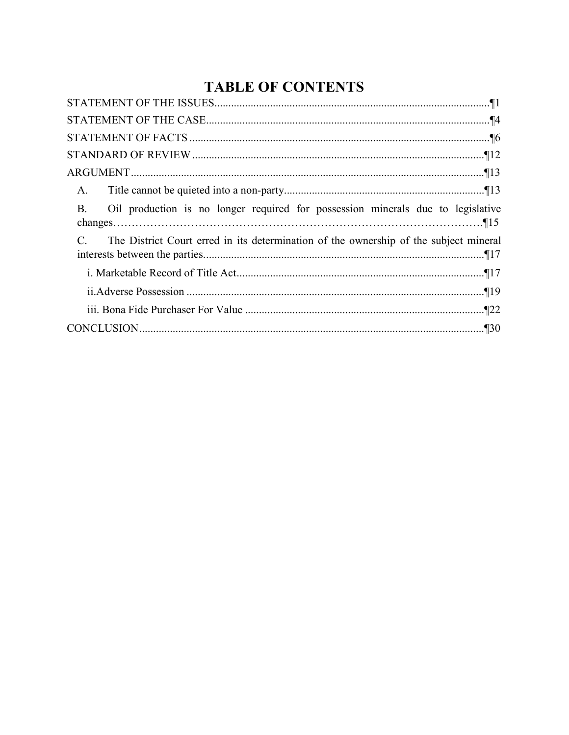# **TABLE OF CONTENTS**

| A.                                                                                                                   |
|----------------------------------------------------------------------------------------------------------------------|
| Oil production is no longer required for possession minerals due to legislative<br><b>B.</b>                         |
| $\mathcal{C}_{\mathcal{C}}$<br>The District Court erred in its determination of the ownership of the subject mineral |
|                                                                                                                      |
|                                                                                                                      |
|                                                                                                                      |
|                                                                                                                      |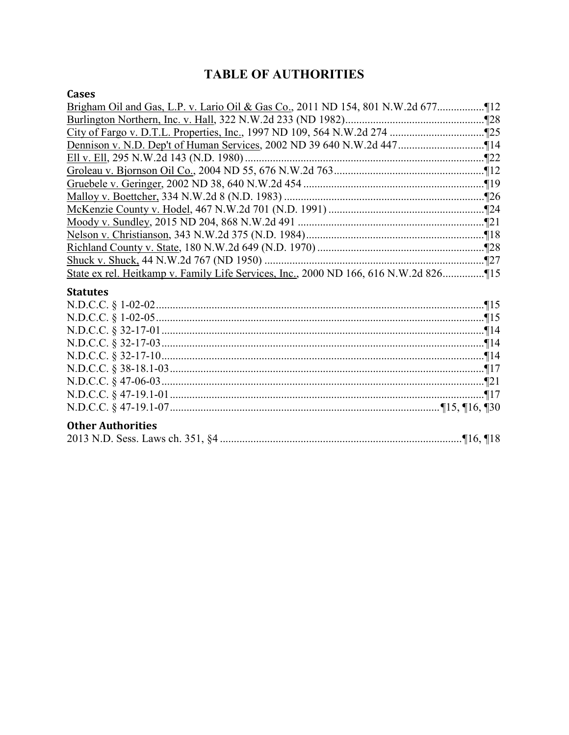# **TABLE OF AUTHORITIES**

## **Cases**

#### **Statutes**

| <b>Other Authorities</b> |  |
|--------------------------|--|
|                          |  |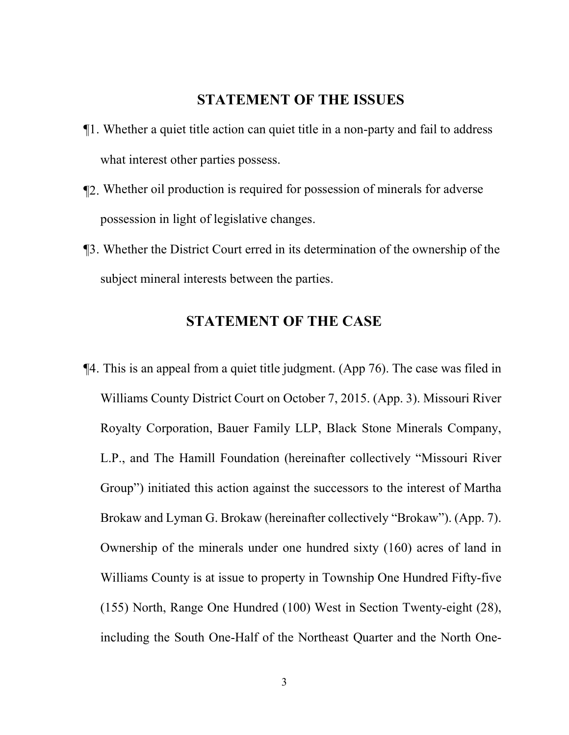# STATEMENT OF THE ISSUES

- ¶1. Whether a quiet title action can quiet title in a non-party and fail to address what interest other parties possess.
- ¶2. Whether oil production is required for possession of minerals for adverse possession in light of legislative changes.
- ¶3. Whether the District Court erred in its determination of the ownership of the subject mineral interests between the parties.

# STATEMENT OF THE CASE

¶4. This is an appeal from a quiet title judgment. (App 76). The case was filed in Williams County District Court on October 7, 2015. (App. 3). Missouri River Royalty Corporation, Bauer Family LLP, Black Stone Minerals Company, L.P., and The Hamill Foundation (hereinafter collectively "Missouri River Group") initiated this action against the successors to the interest of Martha Brokaw and Lyman G. Brokaw (hereinafter collectively "Brokaw"). (App. 7). Ownership of the minerals under one hundred sixty (160) acres of land in Williams County is at issue to property in Township One Hundred Fifty-five (155) North, Range One Hundred (100) West in Section Twenty-eight (28), including the South One-Half of the Northeast Quarter and the North One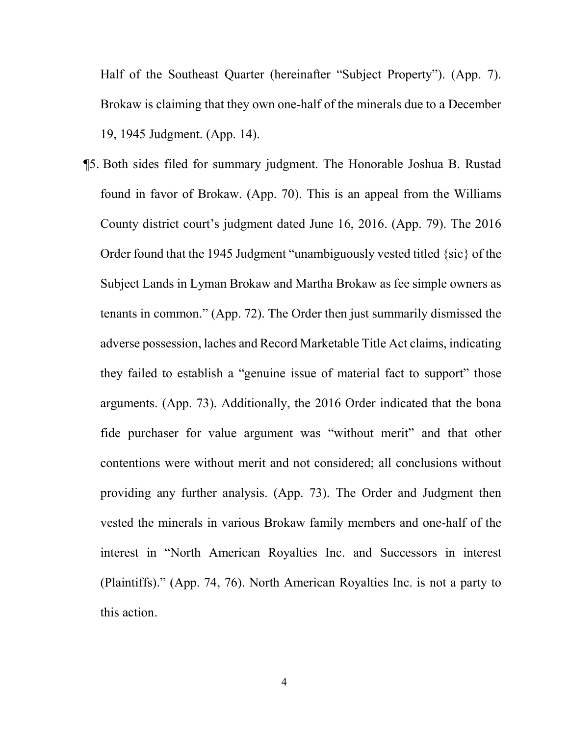Half of the Southeast Quarter (hereinafter "Subject Property"). (App. 7). Brokaw is claiming that they own one-half of the minerals due to a December 19, 1945 Judgment. (App. 14).

¶5. Both sides filed for summary judgment. The Honorable Joshua B. Rustad found in favor of Brokaw. (App. 70). This is an appeal from the Williams County district court's judgment dated June 16, 2016. (App. 79). The 2016 Order found that the 1945 Judgment "unambiguously vested titled {sic} of the Subject Lands in Lyman Brokaw and Martha Brokaw as fee simple owners as tenants in common." (App. 72). The Order then just summarily dismissed the adverse possession, laches and Record Marketable Title Act claims, indicating they failed to establish a "genuine issue of material fact to support" those arguments. (App. 73). Additionally, the 2016 Order indicated that the bona fide purchaser for value argument was "without merit" and that other contentions were without merit and not considered; all conclusions without providing any further analysis. (App. 73). The Order and Judgment then vested the minerals in various Brokaw family members and one-half of the interest in "North American Royalties Inc. and Successors in interest (Plaintiffs)." (App. 74, 76). North American Royalties Inc. is not a party to this action.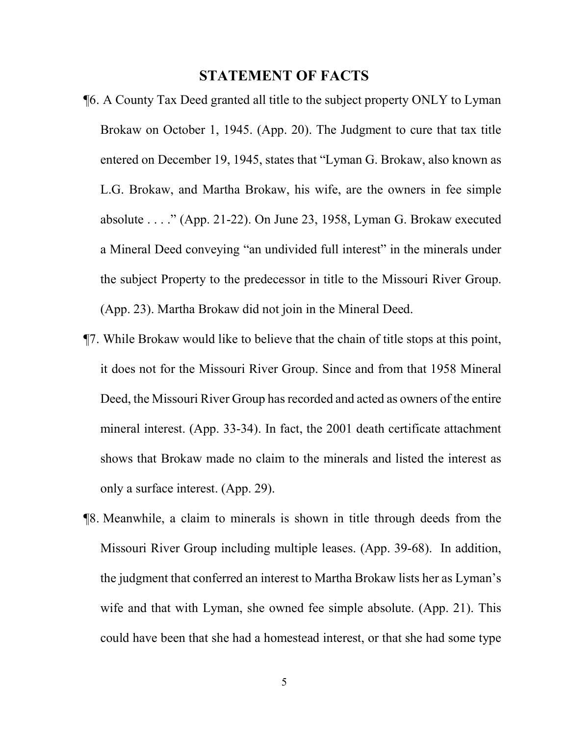### STATEMENT OF FACTS

- ¶6. A County Tax Deed granted all title to the subject property ONLY to Lyman Brokaw on October 1, 1945. (App. 20). The Judgment to cure that tax title entered on December 19, 1945, states that "Lyman G. Brokaw, also known as L.G. Brokaw, and Martha Brokaw, his wife, are the owners in fee simple absolute . . . ." (App. 21-22). On June 23, 1958, Lyman G. Brokaw executed a Mineral Deed conveying "an undivided full interest" in the minerals under the subject Property to the predecessor in title to the Missouri River Group. (App. 23). Martha Brokaw did not join in the Mineral Deed.
- ¶7. While Brokaw would like to believe that the chain of title stops at this point, it does not for the Missouri River Group. Since and from that 1958 Mineral Deed, the Missouri River Group has recorded and acted as owners of the entire mineral interest. (App. 33-34). In fact, the 2001 death certificate attachment shows that Brokaw made no claim to the minerals and listed the interest as only a surface interest. (App. 29).
- ¶8. Meanwhile, a claim to minerals is shown in title through deeds from the Missouri River Group including multiple leases. (App. 39-68). In addition, the judgment that conferred an interest to Martha Brokaw lists her as Lyman's wife and that with Lyman, she owned fee simple absolute. (App. 21). This could have been that she had a homestead interest, or that she had some type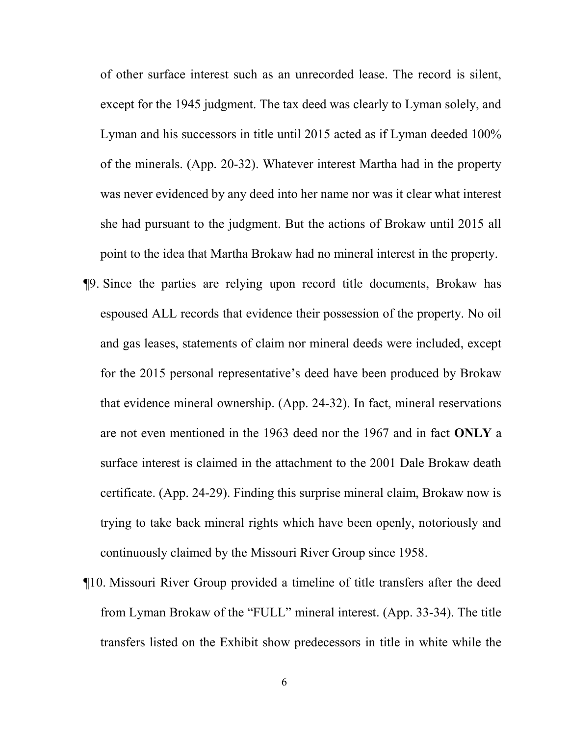of other surface interest such as an unrecorded lease. The record is silent, except for the 1945 judgment. The tax deed was clearly to Lyman solely, and Lyman and his successors in title until 2015 acted as if Lyman deeded 100% of the minerals. (App. 20-32). Whatever interest Martha had in the property was never evidenced by any deed into her name nor was it clear what interest she had pursuant to the judgment. But the actions of Brokaw until 2015 all point to the idea that Martha Brokaw had no mineral interest in the property.

- ¶9. Since the parties are relying upon record title documents, Brokaw has espoused ALL records that evidence their possession of the property. No oil and gas leases, statements of claim nor mineral deeds were included, except for the 2015 personal representative's deed have been produced by Brokaw that evidence mineral ownership. (App. 24-32). In fact, mineral reservations are not even mentioned in the 1963 deed nor the 1967 and in fact ONLY a surface interest is claimed in the attachment to the 2001 Dale Brokaw death certificate. (App. 24-29). Finding this surprise mineral claim, Brokaw now is trying to take back mineral rights which have been openly, notoriously and continuously claimed by the Missouri River Group since 1958.
- ¶10. Missouri River Group provided a timeline of title transfers after the deed from Lyman Brokaw of the "FULL" mineral interest. (App. 33-34). The title transfers listed on the Exhibit show predecessors in title in white while the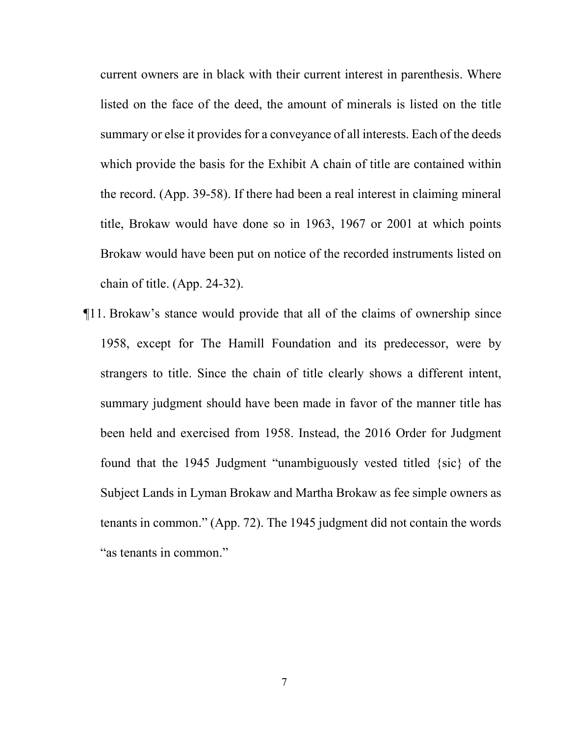current owners are in black with their current interest in parenthesis. Where listed on the face of the deed, the amount of minerals is listed on the title summary or else it provides for a conveyance of all interests. Each of the deeds which provide the basis for the Exhibit A chain of title are contained within the record. (App. 39-58). If there had been a real interest in claiming mineral title, Brokaw would have done so in 1963, 1967 or 2001 at which points Brokaw would have been put on notice of the recorded instruments listed on chain of title. (App. 24-32).

¶11. Brokaw's stance would provide that all of the claims of ownership since 1958, except for The Hamill Foundation and its predecessor, were by strangers to title. Since the chain of title clearly shows a different intent, summary judgment should have been made in favor of the manner title has been held and exercised from 1958. Instead, the 2016 Order for Judgment found that the 1945 Judgment "unambiguously vested titled {sic} of the Subject Lands in Lyman Brokaw and Martha Brokaw as fee simple owners as tenants in common." (App. 72). The 1945 judgment did not contain the words "as tenants in common."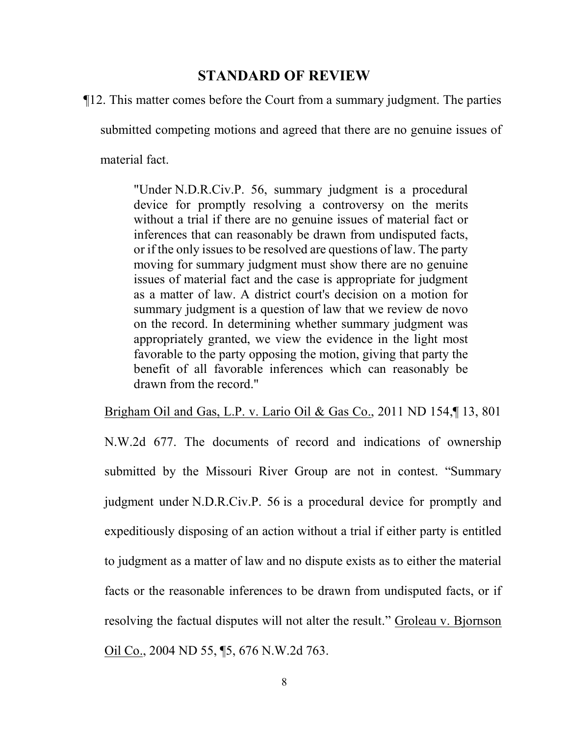## STANDARD OF REVIEW

¶12. This matter comes before the Court from a summary judgment. The parties

submitted competing motions and agreed that there are no genuine issues of

material fact.

"Under N.D.R.Civ.P. 56, summary judgment is a procedural device for promptly resolving a controversy on the merits without a trial if there are no genuine issues of material fact or inferences that can reasonably be drawn from undisputed facts, or if the only issues to be resolved are questions of law. The party moving for summary judgment must show there are no genuine issues of material fact and the case is appropriate for judgment as a matter of law. A district court's decision on a motion for summary judgment is a question of law that we review de novo on the record. In determining whether summary judgment was appropriately granted, we view the evidence in the light most favorable to the party opposing the motion, giving that party the benefit of all favorable inferences which can reasonably be drawn from the record."

Brigham Oil and Gas, L.P. v. Lario Oil & Gas Co., 2011 ND 154,¶ 13, 801

N.W.2d 677. The documents of record and indications of ownership submitted by the Missouri River Group are not in contest. "Summary judgment under N.D.R.Civ.P. 56 is a procedural device for promptly and expeditiously disposing of an action without a trial if either party is entitled to judgment as a matter of law and no dispute exists as to either the material facts or the reasonable inferences to be drawn from undisputed facts, or if resolving the factual disputes will not alter the result." Groleau v. Bjornson Oil Co., 2004 ND 55, ¶5, 676 N.W.2d 763.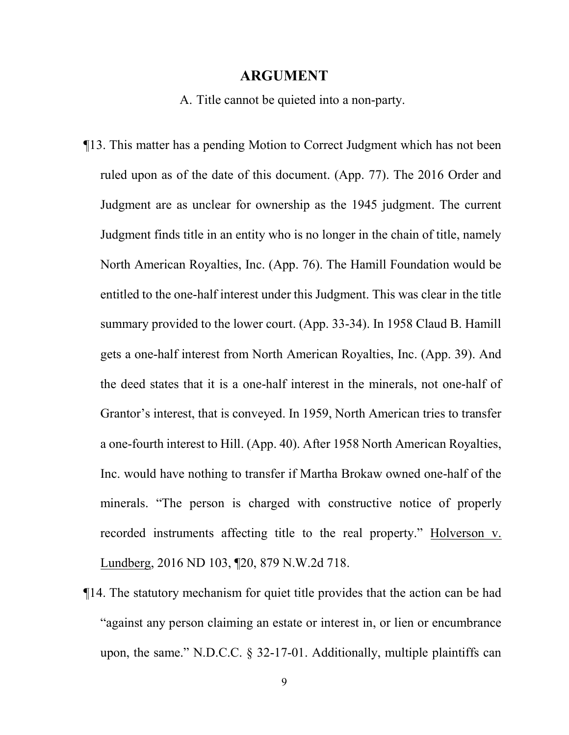#### ARGUMENT

A. Title cannot be quieted into a non-party.

- ¶13. This matter has a pending Motion to Correct Judgment which has not been ruled upon as of the date of this document. (App. 77). The 2016 Order and Judgment are as unclear for ownership as the 1945 judgment. The current Judgment finds title in an entity who is no longer in the chain of title, namely North American Royalties, Inc. (App. 76). The Hamill Foundation would be entitled to the one-half interest under this Judgment. This was clear in the title summary provided to the lower court. (App. 33-34). In 1958 Claud B. Hamill gets a one-half interest from North American Royalties, Inc. (App. 39). And the deed states that it is a one-half interest in the minerals, not one-half of Grantor's interest, that is conveyed. In 1959, North American tries to transfer a one-fourth interest to Hill. (App. 40). After 1958 North American Royalties, Inc. would have nothing to transfer if Martha Brokaw owned one-half of the minerals. "The person is charged with constructive notice of properly recorded instruments affecting title to the real property." Holverson v. Lundberg, 2016 ND 103, ¶20, 879 N.W.2d 718.
- ¶14. The statutory mechanism for quiet title provides that the action can be had "against any person claiming an estate or interest in, or lien or encumbrance upon, the same." N.D.C.C. § 32-17-01. Additionally, multiple plaintiffs can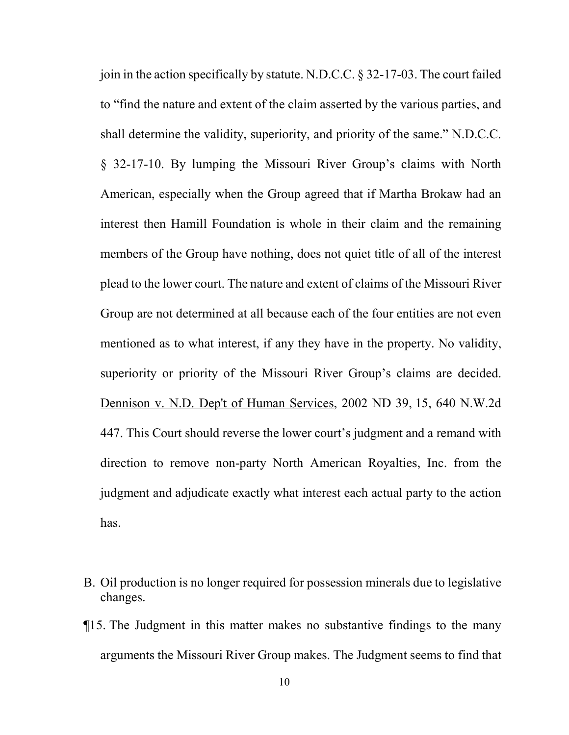join in the action specifically by statute. N.D.C.C. § 32-17-03. The court failed to "find the nature and extent of the claim asserted by the various parties, and shall determine the validity, superiority, and priority of the same." N.D.C.C. § 32-17-10. By lumping the Missouri River Group's claims with North American, especially when the Group agreed that if Martha Brokaw had an interest then Hamill Foundation is whole in their claim and the remaining members of the Group have nothing, does not quiet title of all of the interest plead to the lower court. The nature and extent of claims of the Missouri River Group are not determined at all because each of the four entities are not even mentioned as to what interest, if any they have in the property. No validity, superiority or priority of the Missouri River Group's claims are decided. Dennison v. N.D. Dep't of Human Services, 2002 ND 39, 15, 640 N.W.2d 447. This Court should reverse the lower court's judgment and a remand with direction to remove non-party North American Royalties, Inc. from the judgment and adjudicate exactly what interest each actual party to the action has.

- B. Oil production is no longer required for possession minerals due to legislative changes.
- ¶15. The Judgment in this matter makes no substantive findings to the many arguments the Missouri River Group makes. The Judgment seems to find that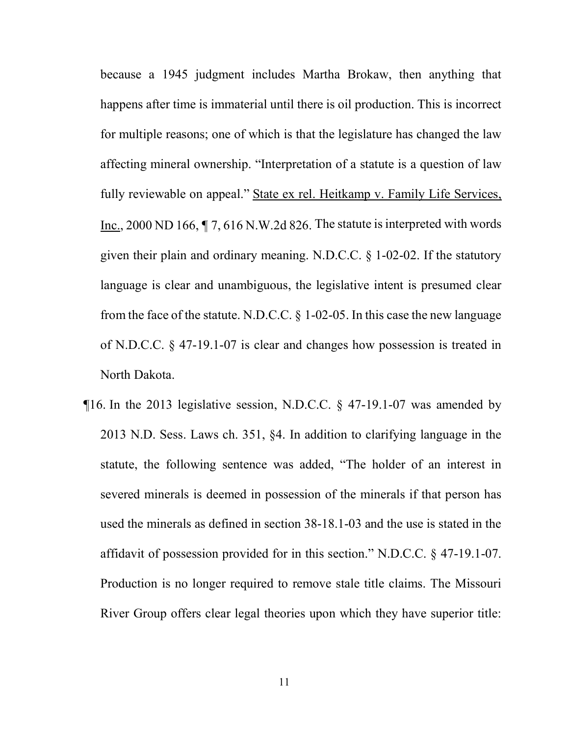because a 1945 judgment includes Martha Brokaw, then anything that happens after time is immaterial until there is oil production. This is incorrect for multiple reasons; one of which is that the legislature has changed the law affecting mineral ownership. "Interpretation of a statute is a question of law fully reviewable on appeal." State ex rel. Heitkamp v. Family Life Services, Inc., 2000 ND 166, ¶ 7, 616 N.W.2d 826. The statute is interpreted with words given their plain and ordinary meaning. N.D.C.C. § 1-02-02. If the statutory language is clear and unambiguous, the legislative intent is presumed clear from the face of the statute. N.D.C.C.  $\S$  1-02-05. In this case the new language of N.D.C.C. § 47-19.1-07 is clear and changes how possession is treated in North Dakota.

¶16. In the 2013 legislative session, N.D.C.C. § 47-19.1-07 was amended by 2013 N.D. Sess. Laws ch. 351, §4. In addition to clarifying language in the statute, the following sentence was added, "The holder of an interest in severed minerals is deemed in possession of the minerals if that person has used the minerals as defined in section 38-18.1-03 and the use is stated in the affidavit of possession provided for in this section." N.D.C.C. § 47-19.1-07. Production is no longer required to remove stale title claims. The Missouri River Group offers clear legal theories upon which they have superior title: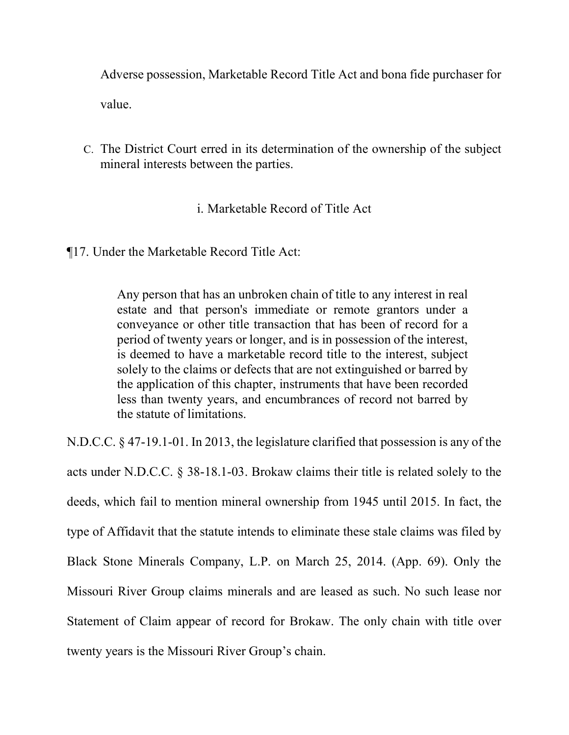Adverse possession, Marketable Record Title Act and bona fide purchaser for value.

- C. The District Court erred in its determination of the ownership of the subject mineral interests between the parties.
	- i. Marketable Record of Title Act

¶17. Under the Marketable Record Title Act:

Any person that has an unbroken chain of title to any interest in real estate and that person's immediate or remote grantors under a conveyance or other title transaction that has been of record for a period of twenty years or longer, and is in possession of the interest, is deemed to have a marketable record title to the interest, subject solely to the claims or defects that are not extinguished or barred by the application of this chapter, instruments that have been recorded less than twenty years, and encumbrances of record not barred by the statute of limitations.

N.D.C.C. § 47-19.1-01. In 2013, the legislature clarified that possession is any of the acts under N.D.C.C. § 38-18.1-03. Brokaw claims their title is related solely to the deeds, which fail to mention mineral ownership from 1945 until 2015. In fact, the type of Affidavit that the statute intends to eliminate these stale claims was filed by Black Stone Minerals Company, L.P. on March 25, 2014. (App. 69). Only the Missouri River Group claims minerals and are leased as such. No such lease nor Statement of Claim appear of record for Brokaw. The only chain with title over twenty years is the Missouri River Group's chain.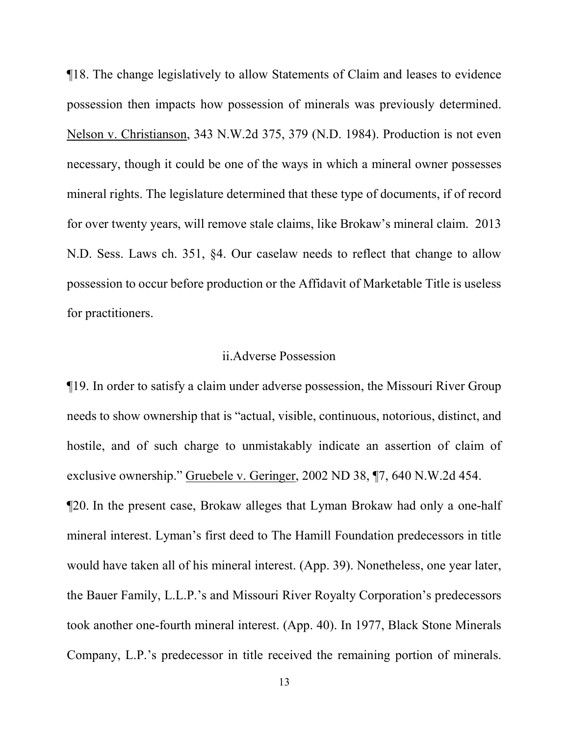¶18. The change legislatively to allow Statements of Claim and leases to evidence possession then impacts how possession of minerals was previously determined. Nelson v. Christianson, 343 N.W.2d 375, 379 (N.D. 1984). Production is not even necessary, though it could be one of the ways in which a mineral owner possesses mineral rights. The legislature determined that these type of documents, if of record for over twenty years, will remove stale claims, like Brokaw's mineral claim. 2013 N.D. Sess. Laws ch. 351, §4. Our caselaw needs to reflect that change to allow possession to occur before production or the Affidavit of Marketable Title is useless for practitioners.

#### ii.Adverse Possession

¶19. In order to satisfy a claim under adverse possession, the Missouri River Group needs to show ownership that is "actual, visible, continuous, notorious, distinct, and hostile, and of such charge to unmistakably indicate an assertion of claim of exclusive ownership." Gruebele v. Geringer, 2002 ND 38, ¶7, 640 N.W.2d 454. ¶20. In the present case, Brokaw alleges that Lyman Brokaw had only a one-half mineral interest. Lyman's first deed to The Hamill Foundation predecessors in title would have taken all of his mineral interest. (App. 39). Nonetheless, one year later, the Bauer Family, L.L.P.'s and Missouri River Royalty Corporation's predecessors took another one-fourth mineral interest. (App. 40). In 1977, Black Stone Minerals Company, L.P.'s predecessor in title received the remaining portion of minerals.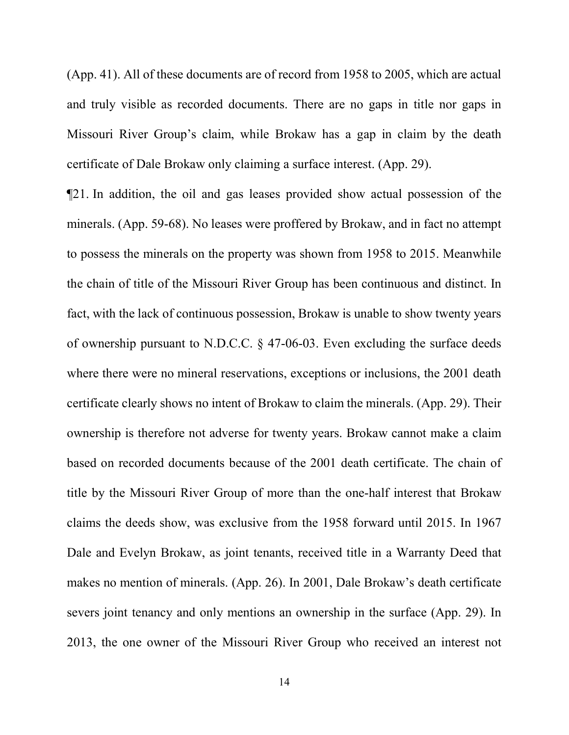(App. 41). All of these documents are of record from 1958 to 2005, which are actual and truly visible as recorded documents. There are no gaps in title nor gaps in Missouri River Group's claim, while Brokaw has a gap in claim by the death certificate of Dale Brokaw only claiming a surface interest. (App. 29).

¶21. In addition, the oil and gas leases provided show actual possession of the minerals. (App. 59-68). No leases were proffered by Brokaw, and in fact no attempt to possess the minerals on the property was shown from 1958 to 2015. Meanwhile the chain of title of the Missouri River Group has been continuous and distinct. In fact, with the lack of continuous possession, Brokaw is unable to show twenty years of ownership pursuant to N.D.C.C. § 47-06-03. Even excluding the surface deeds where there were no mineral reservations, exceptions or inclusions, the 2001 death certificate clearly shows no intent of Brokaw to claim the minerals. (App. 29). Their ownership is therefore not adverse for twenty years. Brokaw cannot make a claim based on recorded documents because of the 2001 death certificate. The chain of title by the Missouri River Group of more than the one-half interest that Brokaw claims the deeds show, was exclusive from the 1958 forward until 2015. In 1967 Dale and Evelyn Brokaw, as joint tenants, received title in a Warranty Deed that makes no mention of minerals. (App. 26). In 2001, Dale Brokaw's death certificate severs joint tenancy and only mentions an ownership in the surface (App. 29). In 2013, the one owner of the Missouri River Group who received an interest not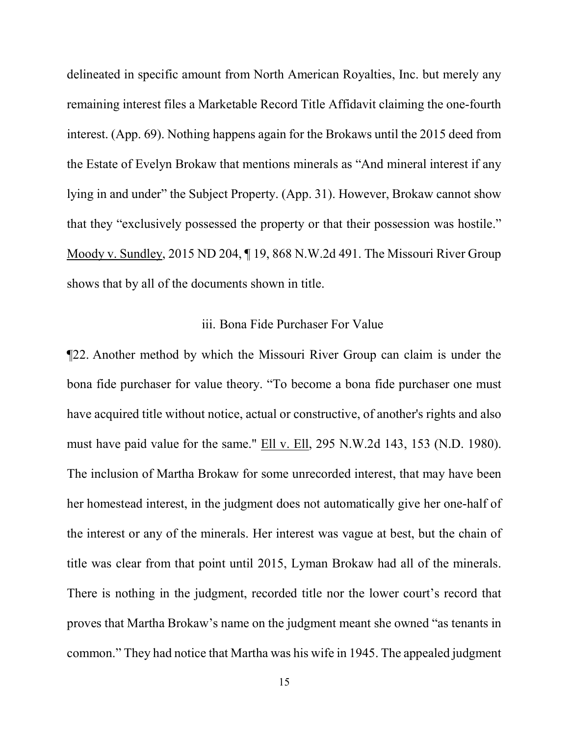delineated in specific amount from North American Royalties, Inc. but merely any remaining interest files a Marketable Record Title Affidavit claiming the one-fourth interest. (App. 69). Nothing happens again for the Brokaws until the 2015 deed from the Estate of Evelyn Brokaw that mentions minerals as "And mineral interest if any lying in and under" the Subject Property. (App. 31). However, Brokaw cannot show that they "exclusively possessed the property or that their possession was hostile." Moody v. Sundley, 2015 ND 204, ¶ 19, 868 N.W.2d 491. The Missouri River Group shows that by all of the documents shown in title.

#### iii. Bona Fide Purchaser For Value

¶22. Another method by which the Missouri River Group can claim is under the bona fide purchaser for value theory. "To become a bona fide purchaser one must have acquired title without notice, actual or constructive, of another's rights and also must have paid value for the same." Ell v. Ell, 295 N.W.2d 143, 153 (N.D. 1980). The inclusion of Martha Brokaw for some unrecorded interest, that may have been her homestead interest, in the judgment does not automatically give her one-half of the interest or any of the minerals. Her interest was vague at best, but the chain of title was clear from that point until 2015, Lyman Brokaw had all of the minerals. There is nothing in the judgment, recorded title nor the lower court's record that proves that Martha Brokaw's name on the judgment meant she owned "as tenants in common." They had notice that Martha was his wife in 1945. The appealed judgment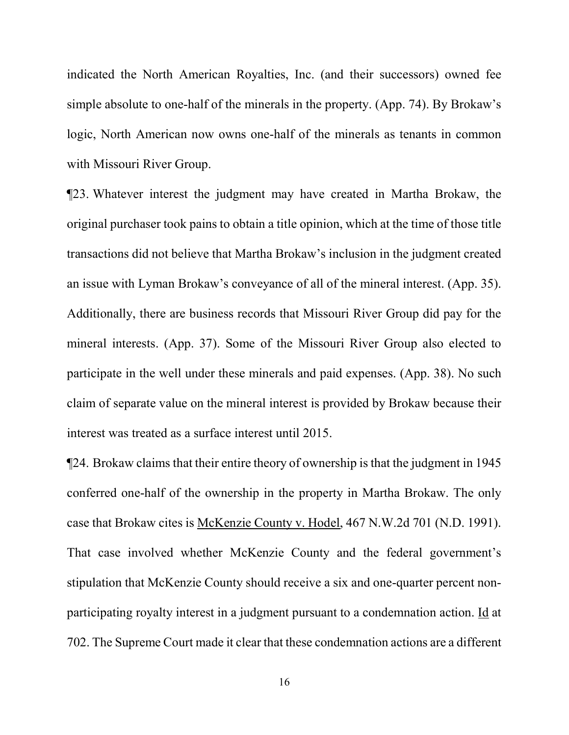indicated the North American Royalties, Inc. (and their successors) owned fee simple absolute to one-half of the minerals in the property. (App. 74). By Brokaw's logic, North American now owns one-half of the minerals as tenants in common with Missouri River Group.

¶23. Whatever interest the judgment may have created in Martha Brokaw, the original purchaser took pains to obtain a title opinion, which at the time of those title transactions did not believe that Martha Brokaw's inclusion in the judgment created an issue with Lyman Brokaw's conveyance of all of the mineral interest. (App. 35). Additionally, there are business records that Missouri River Group did pay for the mineral interests. (App. 37). Some of the Missouri River Group also elected to participate in the well under these minerals and paid expenses. (App. 38). No such claim of separate value on the mineral interest is provided by Brokaw because their interest was treated as a surface interest until 2015.

¶24. Brokaw claims that their entire theory of ownership is that the judgment in 1945 conferred one-half of the ownership in the property in Martha Brokaw. The only case that Brokaw cites is McKenzie County v. Hodel, 467 N.W.2d 701 (N.D. 1991). That case involved whether McKenzie County and the federal government's stipulation that McKenzie County should receive a six and one-quarter percent nonparticipating royalty interest in a judgment pursuant to a condemnation action. Id at 702. The Supreme Court made it clear that these condemnation actions are a different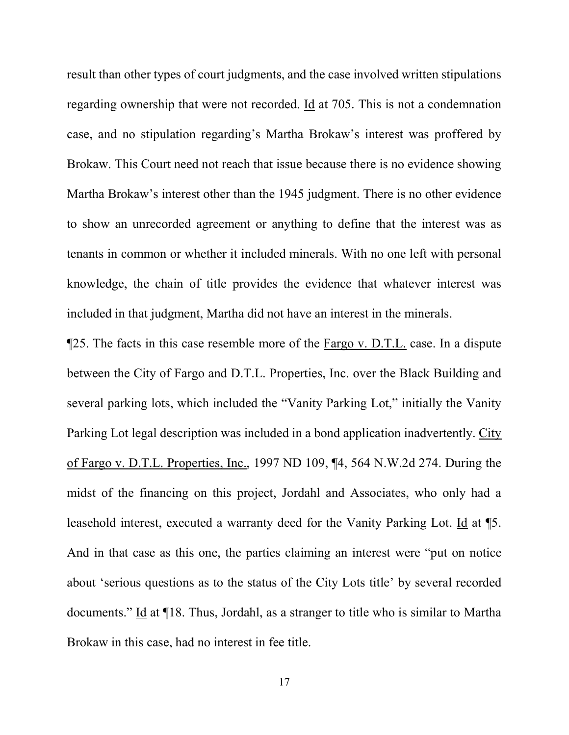result than other types of court judgments, and the case involved written stipulations regarding ownership that were not recorded. Id at 705. This is not a condemnation case, and no stipulation regarding's Martha Brokaw's interest was proffered by Brokaw. This Court need not reach that issue because there is no evidence showing Martha Brokaw's interest other than the 1945 judgment. There is no other evidence to show an unrecorded agreement or anything to define that the interest was as tenants in common or whether it included minerals. With no one left with personal knowledge, the chain of title provides the evidence that whatever interest was included in that judgment, Martha did not have an interest in the minerals.

¶25. The facts in this case resemble more of the Fargo v. D.T.L. case. In a dispute between the City of Fargo and D.T.L. Properties, Inc. over the Black Building and several parking lots, which included the "Vanity Parking Lot," initially the Vanity Parking Lot legal description was included in a bond application inadvertently. City of Fargo v. D.T.L. Properties, Inc., 1997 ND 109, ¶4, 564 N.W.2d 274. During the midst of the financing on this project, Jordahl and Associates, who only had a leasehold interest, executed a warranty deed for the Vanity Parking Lot. Id at ¶5. And in that case as this one, the parties claiming an interest were "put on notice about 'serious questions as to the status of the City Lots title' by several recorded documents." Id at ¶18. Thus, Jordahl, as a stranger to title who is similar to Martha Brokaw in this case, had no interest in fee title.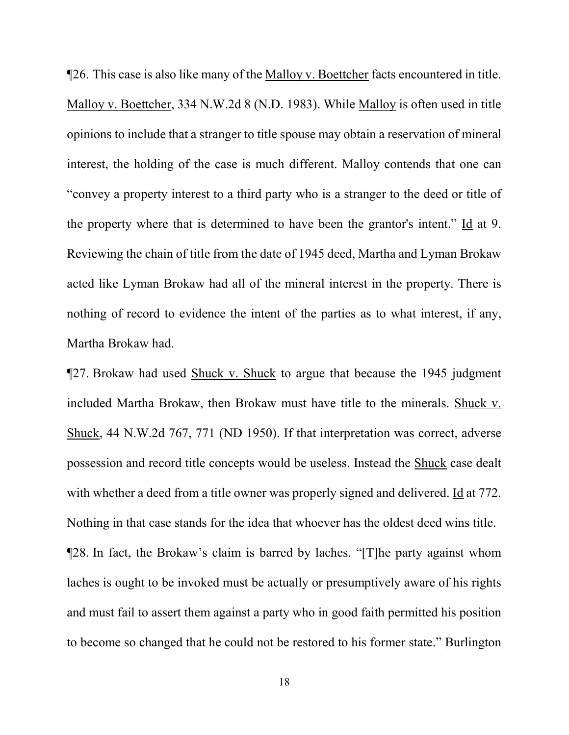¶26. This case is also like many of the Malloy v. Boettcher facts encountered in title. Malloy v. Boettcher, 334 N.W.2d 8 (N.D. 1983). While Malloy is often used in title opinions to include that a stranger to title spouse may obtain a reservation of mineral interest, the holding of the case is much different. Malloy contends that one can "convey a property interest to a third party who is a stranger to the deed or title of the property where that is determined to have been the grantor's intent." Id at 9. Reviewing the chain of title from the date of 1945 deed, Martha and Lyman Brokaw acted like Lyman Brokaw had all of the mineral interest in the property. There is nothing of record to evidence the intent of the parties as to what interest, if any, Martha Brokaw had.

¶27. Brokaw had used Shuck v. Shuck to argue that because the 1945 judgment included Martha Brokaw, then Brokaw must have title to the minerals. Shuck v. Shuck, 44 N.W.2d 767, 771 (ND 1950). If that interpretation was correct, adverse possession and record title concepts would be useless. Instead the Shuck case dealt with whether a deed from a title owner was properly signed and delivered. Id at 772. Nothing in that case stands for the idea that whoever has the oldest deed wins title. ¶28. In fact, the Brokaw's claim is barred by laches. "[T]he party against whom laches is ought to be invoked must be actually or presumptively aware of his rights and must fail to assert them against a party who in good faith permitted his position to become so changed that he could not be restored to his former state." Burlington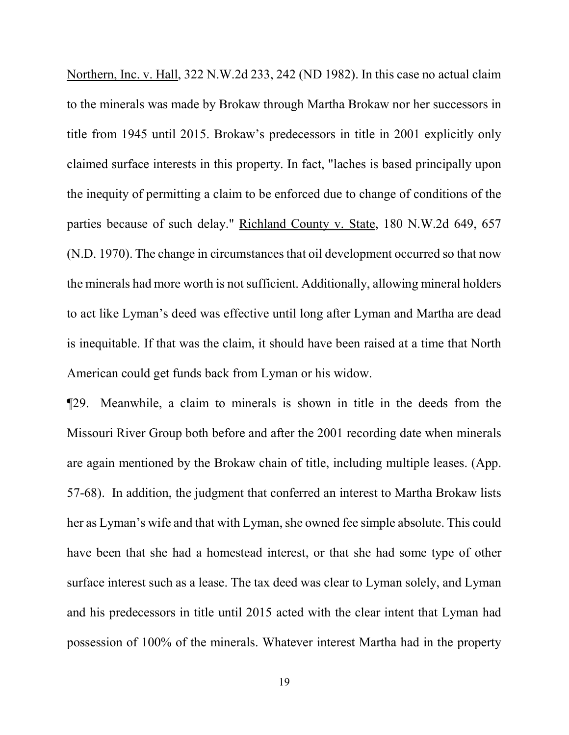Northern, Inc. v. Hall, 322 N.W.2d 233, 242 (ND 1982). In this case no actual claim to the minerals was made by Brokaw through Martha Brokaw nor her successors in title from 1945 until 2015. Brokaw's predecessors in title in 2001 explicitly only claimed surface interests in this property. In fact, "laches is based principally upon the inequity of permitting a claim to be enforced due to change of conditions of the parties because of such delay." Richland County v. State, 180 N.W.2d 649, 657 (N.D. 1970). The change in circumstances that oil development occurred so that now the minerals had more worth is not sufficient. Additionally, allowing mineral holders to act like Lyman's deed was effective until long after Lyman and Martha are dead is inequitable. If that was the claim, it should have been raised at a time that North American could get funds back from Lyman or his widow.

¶29. Meanwhile, a claim to minerals is shown in title in the deeds from the Missouri River Group both before and after the 2001 recording date when minerals are again mentioned by the Brokaw chain of title, including multiple leases. (App. 57-68). In addition, the judgment that conferred an interest to Martha Brokaw lists her as Lyman's wife and that with Lyman, she owned fee simple absolute. This could have been that she had a homestead interest, or that she had some type of other surface interest such as a lease. The tax deed was clear to Lyman solely, and Lyman and his predecessors in title until 2015 acted with the clear intent that Lyman had possession of 100% of the minerals. Whatever interest Martha had in the property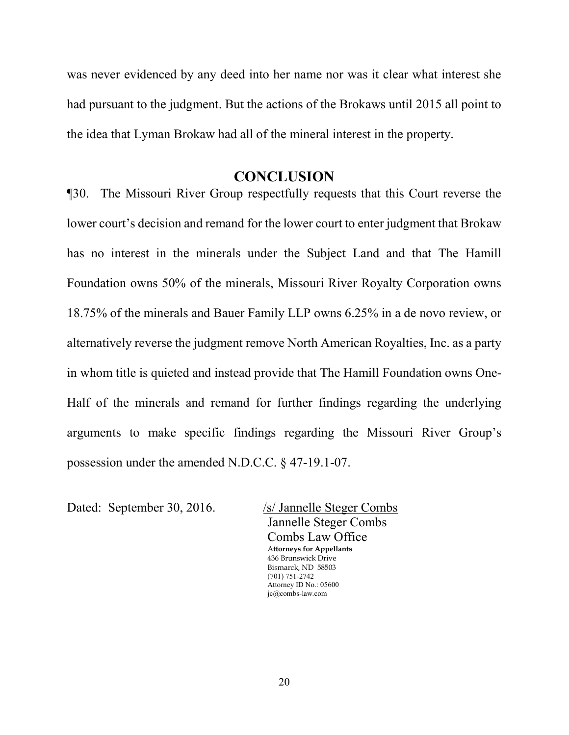was never evidenced by any deed into her name nor was it clear what interest she had pursuant to the judgment. But the actions of the Brokaws until 2015 all point to the idea that Lyman Brokaw had all of the mineral interest in the property.

## **CONCLUSION**

¶30. The Missouri River Group respectfully requests that this Court reverse the lower court's decision and remand for the lower court to enter judgment that Brokaw has no interest in the minerals under the Subject Land and that The Hamill Foundation owns 50% of the minerals, Missouri River Royalty Corporation owns 18.75% of the minerals and Bauer Family LLP owns 6.25% in a de novo review, or alternatively reverse the judgment remove North American Royalties, Inc. as a party in whom title is quieted and instead provide that The Hamill Foundation owns One-Half of the minerals and remand for further findings regarding the underlying arguments to make specific findings regarding the Missouri River Group's possession under the amended N.D.C.C. § 47-19.1-07.

Dated: September 30, 2016. /s/ Jannelle Steger Combs

Jannelle Steger Combs Combs Law Office Attorneys for Appellants 436 Brunswick Drive Bismarck, ND 58503 (701) 751-2742 Attorney ID No.: 05600 jc@combs-law.com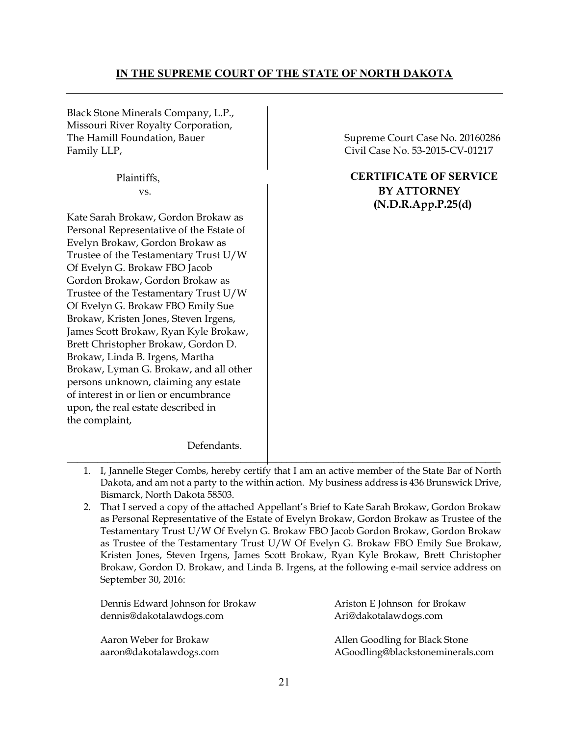#### IN THE SUPREME COURT OF THE STATE OF NORTH DAKOTA

Black Stone Minerals Company, L.P., Missouri River Royalty Corporation, The Hamill Foundation, Bauer Supreme Court Case No. 20160286 Family LLP, Civil Case No. 53-2015-CV-01217

Kate Sarah Brokaw, Gordon Brokaw as Personal Representative of the Estate of Evelyn Brokaw, Gordon Brokaw as Trustee of the Testamentary Trust U/W Of Evelyn G. Brokaw FBO Jacob Gordon Brokaw, Gordon Brokaw as Trustee of the Testamentary Trust U/W Of Evelyn G. Brokaw FBO Emily Sue Brokaw, Kristen Jones, Steven Irgens, James Scott Brokaw, Ryan Kyle Brokaw, Brett Christopher Brokaw, Gordon D. Brokaw, Linda B. Irgens, Martha Brokaw, Lyman G. Brokaw, and all other persons unknown, claiming any estate of interest in or lien or encumbrance upon, the real estate described in the complaint,

# Plaintiffs, **CERTIFICATE OF SERVICE** vs. BY ATTORNEY (N.D.R.App.P.25(d)

Defendants.

1. I, Jannelle Steger Combs, hereby certify that I am an active member of the State Bar of North Dakota, and am not a party to the within action. My business address is 436 Brunswick Drive, Bismarck, North Dakota 58503.

\_\_\_\_\_\_\_\_\_\_\_\_\_\_\_\_\_\_\_\_\_\_\_\_\_\_\_\_\_\_\_\_\_\_\_\_\_\_\_\_\_\_\_\_\_\_\_\_\_\_\_\_\_\_\_\_\_\_\_\_\_\_\_\_\_\_\_\_\_\_\_\_\_\_\_\_\_\_\_\_\_\_\_\_\_

2. That I served a copy of the attached Appellant's Brief to Kate Sarah Brokaw, Gordon Brokaw as Personal Representative of the Estate of Evelyn Brokaw, Gordon Brokaw as Trustee of the Testamentary Trust U/W Of Evelyn G. Brokaw FBO Jacob Gordon Brokaw, Gordon Brokaw as Trustee of the Testamentary Trust U/W Of Evelyn G. Brokaw FBO Emily Sue Brokaw, Kristen Jones, Steven Irgens, James Scott Brokaw, Ryan Kyle Brokaw, Brett Christopher Brokaw, Gordon D. Brokaw, and Linda B. Irgens, at the following e-mail service address on September 30, 2016:

| Dennis Edward Johnson for Brokaw | Ariston E Johnson for Brokaw     |
|----------------------------------|----------------------------------|
| dennis@dakotalawdogs.com         | Ari@dakotalawdogs.com            |
| Aaron Weber for Brokaw           | Allen Goodling for Black Stone   |
| aaron@dakotalawdogs.com          | AGoodling@blackstoneminerals.com |